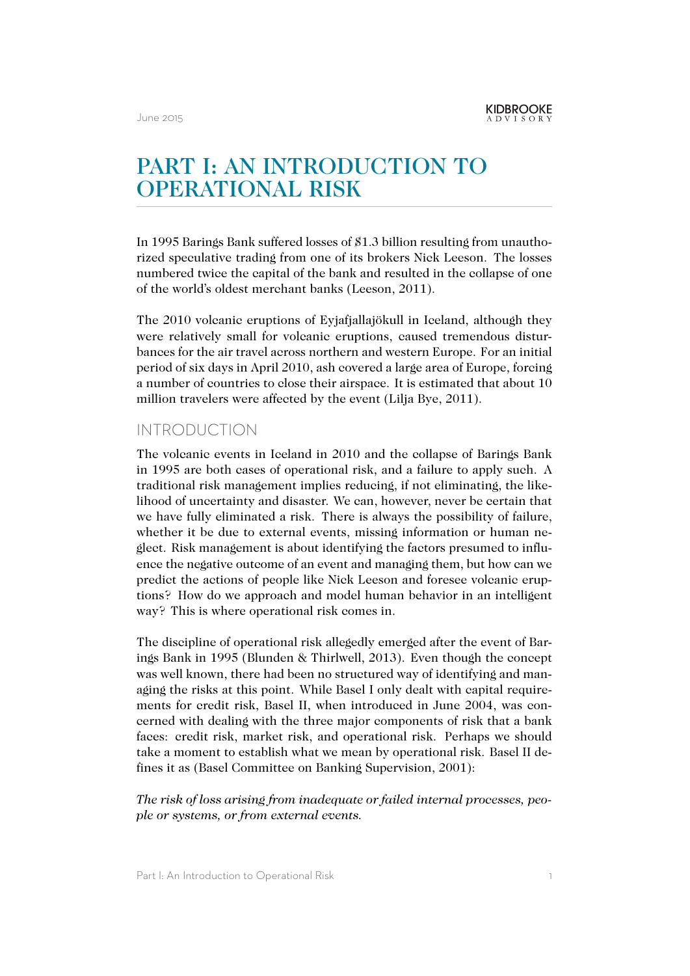# PART I: AN INTRODUCTION TO OPERATIONAL RISK

In 1995 Barings Bank suffered losses of \$1.3 billion resulting from unauthorized speculative trading from one of its brokers Nick Leeson. The losses numbered twice the capital of the bank and resulted in the collapse of one of the world's oldest merchant banks (Leeson, 2011).

The 2010 volcanic eruptions of Eyjafjallajökull in Iceland, although they were relatively small for volcanic eruptions, caused tremendous disturbances for the air travel across norther[n and western](#page-4-0) Europe. For an initial period of six days in April 2010, ash covered a large area of Europe, forcing a number of countries to close their airspace. It is estimated that about 10 million travelers were affected by the event (Lilja Bye, 2011).

# INTRODUCTION

The volcanic events in Iceland in 2010 and [the collapse of](#page-4-1) Barings Bank in 1995 are both cases of operational risk, and a failure to apply such. A traditional risk management implies reducing, if not eliminating, the likelihood of uncertainty and disaster. We can, however, never be certain that we have fully eliminated a risk. There is always the possibility of failure, whether it be due to external events, missing information or human neglect. Risk management is about identifying the factors presumed to influence the negative outcome of an event and managing them, but how can we predict the actions of people like Nick Leeson and foresee volcanic eruptions? How do we approach and model human behavior in an intelligent way? This is where operational risk comes in.

The discipline of operational risk allegedly emerged after the event of Barings Bank in 1995 (Blunden & Thirlwell, 2013). Even though the concept was well known, there had been no structured way of identifying and managing the risks at this point. While Basel I only dealt with capital requirements for credit risk, Basel II, when introduced in June 2004, was concerned with dealin[g with the three major com](#page-4-2)ponents of risk that a bank faces: credit risk, market risk, and operational risk. Perhaps we should take a moment to establish what we mean by operational risk. Basel II defines it as (Basel Committee on Banking Supervision, 2001):

*The risk of loss arising from inadequate or failed internal processes, people or syst[ems, or from external events.](#page-4-3)*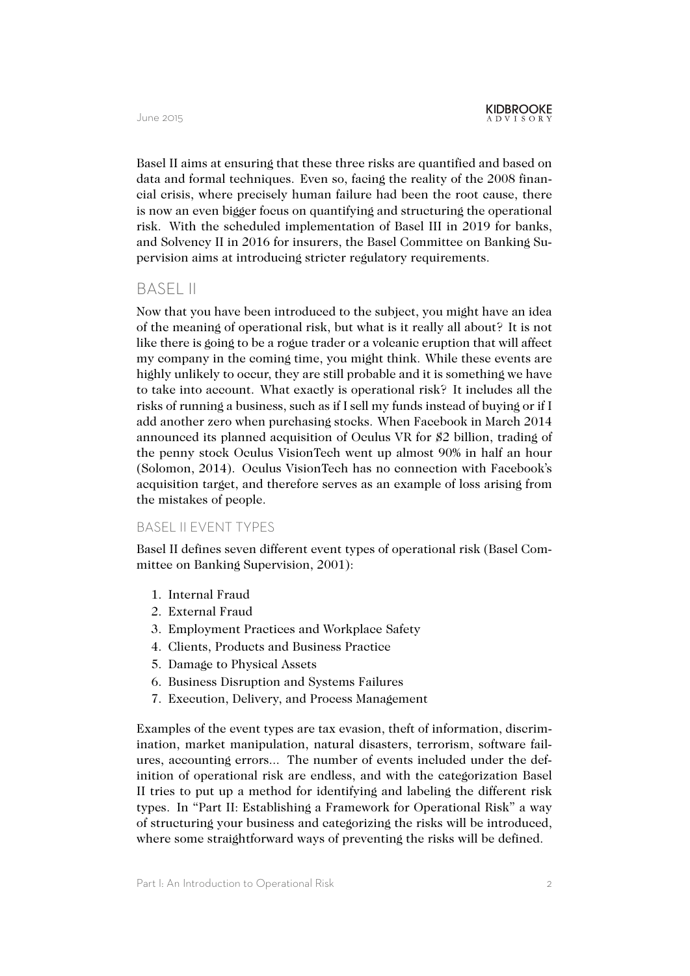Basel II aims at ensuring that these three risks are quantified and based on data and formal techniques. Even so, facing the reality of the 2008 financial crisis, where precisely human failure had been the root cause, there is now an even bigger focus on quantifying and structuring the operational risk. With the scheduled implementation of Basel III in 2019 for banks, and Solvency II in 2016 for insurers, the Basel Committee on Banking Supervision aims at introducing stricter regulatory requirements.

# BASEL II

Now that you have been introduced to the subject, you might have an idea of the meaning of operational risk, but what is it really all about? It is not like there is going to be a rogue trader or a volcanic eruption that will affect my company in the coming time, you might think. While these events are highly unlikely to occur, they are still probable and it is something we have to take into account. What exactly is operational risk? It includes all the risks of running a business, such as if I sell my funds instead of buying or if I add another zero when purchasing stocks. When Facebook in March 2014 announced its planned acquisition of Oculus VR for \$2 billion, trading of the penny stock Oculus VisionTech went up almost 90% in half an hour (Solomon, 2014). Oculus VisionTech has no connection with Facebook's acquisition target, and therefore serves as an example of loss arising from the mistakes of people.

## [BASEL II EVENT](#page-4-4) TYPES

Basel II defines seven different event types of operational risk (Basel Committee on Banking Supervision, 2001):

- 1. Internal Fraud
- 2. External Fraud
- 3. [Employment Practices and Wor](#page-4-3)kplace Safety
- 4. Clients, Products and Business Practice
- 5. Damage to Physical Assets
- 6. Business Disruption and Systems Failures
- 7. Execution, Delivery, and Process Management

Examples of the event types are tax evasion, theft of information, discrimination, market manipulation, natural disasters, terrorism, software failures, accounting errors... The number of events included under the definition of operational risk are endless, and with the categorization Basel II tries to put up a method for identifying and labeling the different risk types. In "Part II: Establishing a Framework for Operational Risk" a way of structuring your business and categorizing the risks will be introduced, where some straightforward ways of preventing the risks will be defined.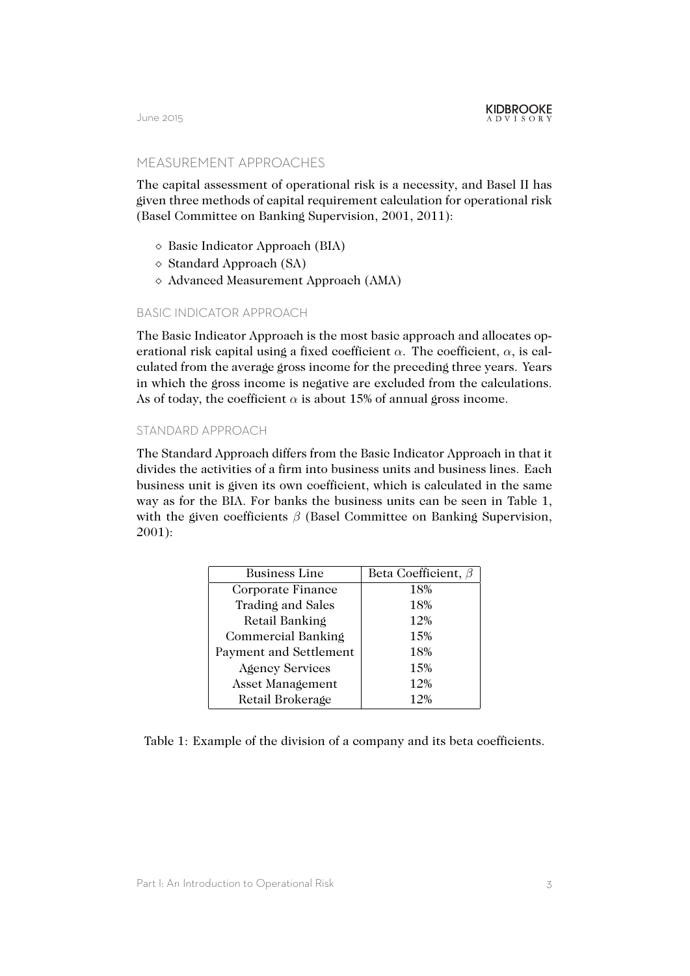# MEASUREMENT APPROACHES

The capital assessment of operational risk is a necessity, and Basel II has given three methods of capital requirement calculation for operational risk (Basel Committee on Banking Supervision, 2001, 2011):

- *⋄* Basic Indicator Approach (BIA)
- *⋄* Standard Approach (SA)
- *⋄* [Advanced Measurement Approach \(AMA\)](#page-4-3)

## BASIC INDICATOR APPROACH

The Basic Indicator Approach is the most basic approach and allocates operational risk capital using a fixed coefficient *α*. The coefficient, *α*, is calculated from the average gross income for the preceding three years. Years in which the gross income is negative are excluded from the calculations. As of today, the coefficient  $\alpha$  is about 15% of annual gross income.

## STANDARD APPROACH

The Standard Approach differs from the Basic Indicator Approach in that it divides the activities of a firm into business units and business lines. Each business unit is given its own coefficient, which is calculated in the same way as for the BIA. For banks the business units can be seen in Table 1, with the given coefficients *β* (Basel Committee on Banking Supervision, 2001):

| <b>Business</b> Line          | Beta Coefficient, $\beta$ |
|-------------------------------|---------------------------|
| Corporate Finance             | 18%                       |
| Trading and Sales             | 18%                       |
| Retail Banking                | 12%                       |
| Commercial Banking            | 15%                       |
| <b>Payment and Settlement</b> | 18%                       |
| <b>Agency Services</b>        | 15%                       |
| Asset Management              | 12%                       |
| Retail Brokerage              | 12%                       |

Table 1: Example of the division of a company and its beta coefficients.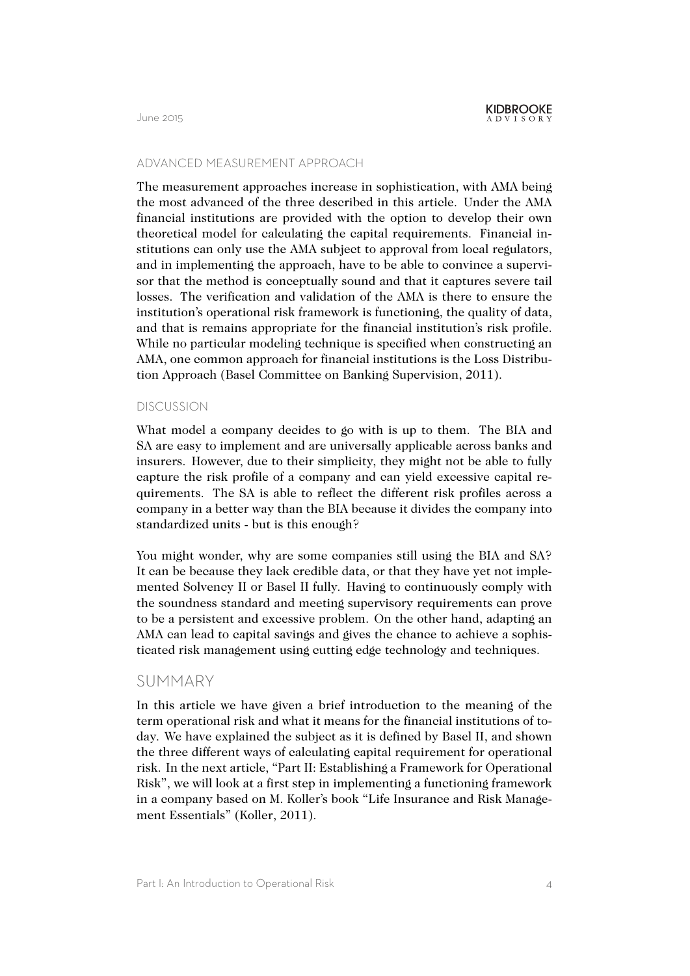#### ADVANCED MEASUREMENT APPROACH

The measurement approaches increase in sophistication, with AMA being the most advanced of the three described in this article. Under the AMA financial institutions are provided with the option to develop their own theoretical model for calculating the capital requirements. Financial institutions can only use the AMA subject to approval from local regulators, and in implementing the approach, have to be able to convince a supervisor that the method is conceptually sound and that it captures severe tail losses. The verification and validation of the AMA is there to ensure the institution's operational risk framework is functioning, the quality of data, and that is remains appropriate for the financial institution's risk profile. While no particular modeling technique is specified when constructing an AMA, one common approach for financial institutions is the Loss Distribution Approach (Basel Committee on Banking Supervision, 2011).

#### DISCUSSION

What model a [company decides to go with is up to them. Th](#page-4-5)e BIA and SA are easy to implement and are universally applicable across banks and insurers. However, due to their simplicity, they might not be able to fully capture the risk profile of a company and can yield excessive capital requirements. The SA is able to reflect the different risk profiles across a company in a better way than the BIA because it divides the company into standardized units - but is this enough?

You might wonder, why are some companies still using the BIA and SA? It can be because they lack credible data, or that they have yet not implemented Solvency II or Basel II fully. Having to continuously comply with the soundness standard and meeting supervisory requirements can prove to be a persistent and excessive problem. On the other hand, adapting an AMA can lead to capital savings and gives the chance to achieve a sophisticated risk management using cutting edge technology and techniques.

## SUMMARY

In this article we have given a brief introduction to the meaning of the term operational risk and what it means for the financial institutions of today. We have explained the subject as it is defined by Basel II, and shown the three different ways of calculating capital requirement for operational risk. In the next article, "Part II: Establishing a Framework for Operational Risk", we will look at a first step in implementing a functioning framework in a company based on M. Koller's book "Life Insurance and Risk Management Essentials" (Koller, 2011).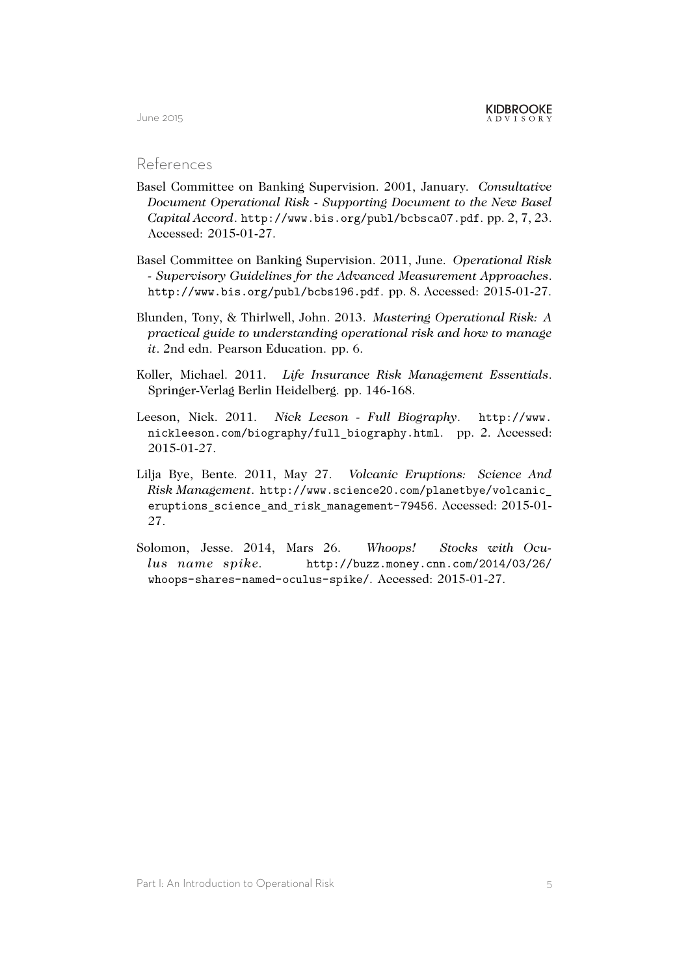# References

- Basel Committee on Banking Supervision. 2001, January. *Consultative Document Operational Risk - Supporting Document to the New Basel Capital Accord*. http://www.bis.org/publ/bcbsca07.pdf. pp. 2, 7, 23. Accessed: 2015-01-27.
- <span id="page-4-3"></span>Basel Committee on Banking Supervision. 2011, June. *Operational Risk - Supervisory G[uidelines for the Advanced Measurement](http://www.bis.org/publ/bcbsca07.pdf) Approaches*. http://www.bis.org/publ/bcbs196.pdf. pp. 8. Accessed: 2015-01-27.
- <span id="page-4-5"></span>Blunden, Tony, & Thirlwell, John. 2013. *Mastering Operational Risk: A practical guide to understanding operational risk and how to manage it*[. 2nd edn. Pearson Education. pp. 6.](http://www.bis.org/publ/bcbs196.pdf)
- <span id="page-4-2"></span>Koller, Michael. 2011. *Life Insurance Risk Management Essentials*. Springer-Verlag Berlin Heidelberg. pp. 146-168.
- <span id="page-4-6"></span>Leeson, Nick. 2011. *Nick Leeson - Full Biography*. http://www. nickleeson.com/biography/full\_biography.html. pp. 2. Accessed: 2015-01-27.
- <span id="page-4-0"></span>Lilja Bye, Bente. 2011, May 27. *Volcanic Eruptions: [Science And](http://www.nickleeson.com/biography/full_biography.html) Risk Management*. [http://www.science20.com/pla](http://www.nickleeson.com/biography/full_biography.html)netbye/volcanic\_ eruptions\_science\_and\_risk\_management-79456. Accessed: 2015-01- 27.
- <span id="page-4-4"></span><span id="page-4-1"></span>Solomon, Jesse. 2014, Mars 26. *[Whoops! Stocks with Ocu](http://www.science20.com/planetbye/volcanic_eruptions_science_and_risk_management-79456)lus name spike*. [http://buzz.money.cn](http://www.science20.com/planetbye/volcanic_eruptions_science_and_risk_management-79456)n.com/2014/03/26/ whoops-shares-named-oculus-spike/. Accessed: 2015-01-27.